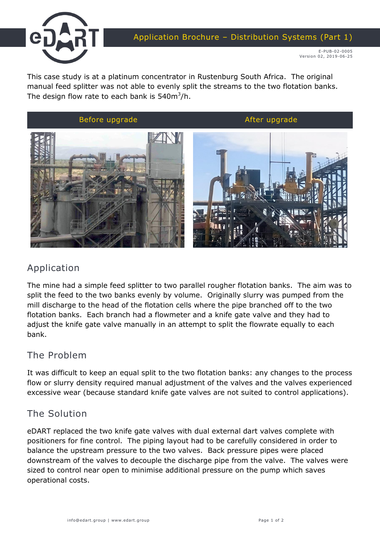

This case study is at a platinum concentrator in Rustenburg South Africa. The original manual feed splitter was not able to evenly split the streams to the two flotation banks. The design flow rate to each bank is 540m $^3$ /h.



## Application

The mine had a simple feed splitter to two parallel rougher flotation banks. The aim was to split the feed to the two banks evenly by volume. Originally slurry was pumped from the mill discharge to the head of the flotation cells where the pipe branched off to the two flotation banks. Each branch had a flowmeter and a knife gate valve and they had to adjust the knife gate valve manually in an attempt to split the flowrate equally to each bank.

### The Problem

It was difficult to keep an equal split to the two flotation banks: any changes to the process flow or slurry density required manual adjustment of the valves and the valves experienced excessive wear (because standard knife gate valves are not suited to control applications).

#### The Solution

eDART replaced the two knife gate valves with dual external dart valves complete with positioners for fine control. The piping layout had to be carefully considered in order to balance the upstream pressure to the two valves. Back pressure pipes were placed downstream of the valves to decouple the discharge pipe from the valve. The valves were sized to control near open to minimise additional pressure on the pump which saves operational costs.